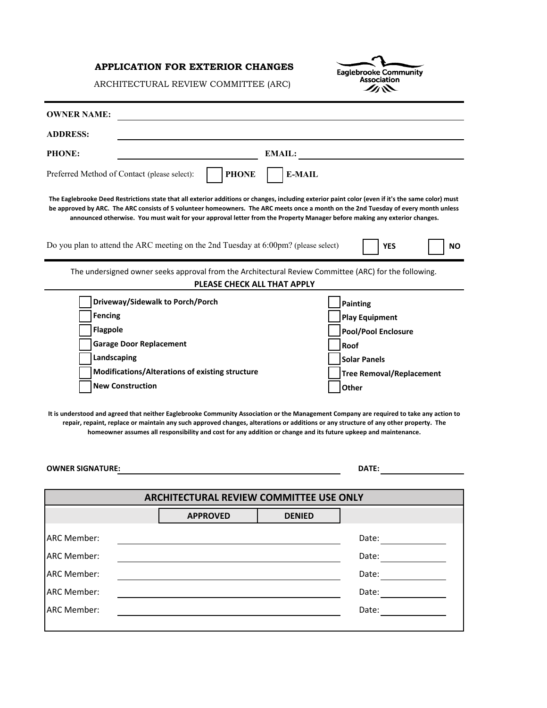# **APPLICATION FOR EXTERIOR CHANGES**

c Eaglebrooke Community<br>Association

ARCHITECTURAL REVIEW COMMITTEE (ARC)

| <b>ADDRESS:</b><br>PHONE:<br><b>EMAIL:</b><br>Preferred Method of Contact (please select):<br><b>PHONE</b><br><b>E-MAIL</b><br>The Eaglebrooke Deed Restrictions state that all exterior additions or changes, including exterior paint color (even if it's the same color) must<br>be approved by ARC. The ARC consists of 5 volunteer homeowners. The ARC meets once a month on the 2nd Tuesday of every month unless<br>announced otherwise. You must wait for your approval letter from the Property Manager before making any exterior changes.<br>Do you plan to attend the ARC meeting on the 2nd Tuesday at 6.00pm? (please select)<br><b>YES</b><br>The undersigned owner seeks approval from the Architectural Review Committee (ARC) for the following.                                                                             | NΟ |
|------------------------------------------------------------------------------------------------------------------------------------------------------------------------------------------------------------------------------------------------------------------------------------------------------------------------------------------------------------------------------------------------------------------------------------------------------------------------------------------------------------------------------------------------------------------------------------------------------------------------------------------------------------------------------------------------------------------------------------------------------------------------------------------------------------------------------------------------|----|
|                                                                                                                                                                                                                                                                                                                                                                                                                                                                                                                                                                                                                                                                                                                                                                                                                                                |    |
|                                                                                                                                                                                                                                                                                                                                                                                                                                                                                                                                                                                                                                                                                                                                                                                                                                                |    |
|                                                                                                                                                                                                                                                                                                                                                                                                                                                                                                                                                                                                                                                                                                                                                                                                                                                |    |
|                                                                                                                                                                                                                                                                                                                                                                                                                                                                                                                                                                                                                                                                                                                                                                                                                                                |    |
|                                                                                                                                                                                                                                                                                                                                                                                                                                                                                                                                                                                                                                                                                                                                                                                                                                                |    |
| PLEASE CHECK ALL THAT APPLY                                                                                                                                                                                                                                                                                                                                                                                                                                                                                                                                                                                                                                                                                                                                                                                                                    |    |
| Driveway/Sidewalk to Porch/Porch<br><b>Painting</b><br><b>Fencing</b><br><b>Play Equipment</b><br><b>Flagpole</b><br>Pool/Pool Enclosure<br><b>Garage Door Replacement</b><br>Roof<br>Landscaping<br><b>Solar Panels</b><br>Modifications/Alterations of existing structure<br><b>Tree Removal/Replacement</b><br><b>New Construction</b><br>Other<br>It is understood and agreed that neither Eaglebrooke Community Association or the Management Company are required to take any action to<br>repair, repaint, replace or maintain any such approved changes, alterations or additions or any structure of any other property. The<br>homeowner assumes all responsibility and cost for any addition or change and its future upkeep and maintenance.<br><b>OWNER SIGNATURE:</b><br>DATE:<br><b>ARCHITECTURAL REVIEW COMMITTEE USE ONLY</b> |    |
| <b>DENIED</b><br><b>APPROVED</b>                                                                                                                                                                                                                                                                                                                                                                                                                                                                                                                                                                                                                                                                                                                                                                                                               |    |
|                                                                                                                                                                                                                                                                                                                                                                                                                                                                                                                                                                                                                                                                                                                                                                                                                                                |    |
| <b>ARC Member:</b><br>Date: $\qquad \qquad \qquad$                                                                                                                                                                                                                                                                                                                                                                                                                                                                                                                                                                                                                                                                                                                                                                                             |    |
| <b>ARC Member:</b><br>Date: $\qquad \qquad \qquad$                                                                                                                                                                                                                                                                                                                                                                                                                                                                                                                                                                                                                                                                                                                                                                                             |    |
| <b>ARC Member:</b><br>Date: <u>_____</u>                                                                                                                                                                                                                                                                                                                                                                                                                                                                                                                                                                                                                                                                                                                                                                                                       |    |
| <b>ARC Member:</b><br>Date: $\qquad \qquad \qquad$                                                                                                                                                                                                                                                                                                                                                                                                                                                                                                                                                                                                                                                                                                                                                                                             |    |
| <b>ARC Member:</b><br>Date: $\qquad \qquad \qquad$                                                                                                                                                                                                                                                                                                                                                                                                                                                                                                                                                                                                                                                                                                                                                                                             |    |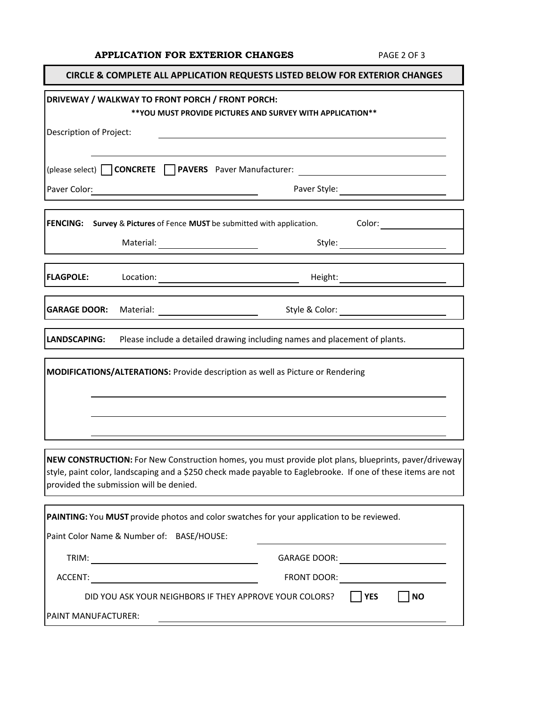# **APPLICATION FOR EXTERIOR CHANGES** PAGE 2 OF 3

٦

| <b>CIRCLE &amp; COMPLETE ALL APPLICATION REQUESTS LISTED BELOW FOR EXTERIOR CHANGES</b>                                                                                                                                                                                                                                                                                                           |
|---------------------------------------------------------------------------------------------------------------------------------------------------------------------------------------------------------------------------------------------------------------------------------------------------------------------------------------------------------------------------------------------------|
| DRIVEWAY / WALKWAY TO FRONT PORCH / FRONT PORCH:<br>** YOU MUST PROVIDE PICTURES AND SURVEY WITH APPLICATION **                                                                                                                                                                                                                                                                                   |
| Description of Project:                                                                                                                                                                                                                                                                                                                                                                           |
|                                                                                                                                                                                                                                                                                                                                                                                                   |
|                                                                                                                                                                                                                                                                                                                                                                                                   |
| Paver Color:<br><u> 1989 - John Stone, mars et al. (</u>                                                                                                                                                                                                                                                                                                                                          |
| <b>FENCING:</b> Survey & Pictures of Fence MUST be submitted with application. Color:                                                                                                                                                                                                                                                                                                             |
| Style: 2008                                                                                                                                                                                                                                                                                                                                                                                       |
| <b>FLAGPOLE:</b><br>$\begin{picture}(150,10) \put(0,0){\vector(1,0){100}} \put(15,0){\vector(1,0){100}} \put(15,0){\vector(1,0){100}} \put(15,0){\vector(1,0){100}} \put(15,0){\vector(1,0){100}} \put(15,0){\vector(1,0){100}} \put(15,0){\vector(1,0){100}} \put(15,0){\vector(1,0){100}} \put(15,0){\vector(1,0){100}} \put(15,0){\vector(1,0){100}} \put(15,0){\vector(1,0){100}}$<br>Height: |
| <b>GARAGE DOOR:</b><br>Style & Color: _________                                                                                                                                                                                                                                                                                                                                                   |
| LANDSCAPING:<br>Please include a detailed drawing including names and placement of plants.                                                                                                                                                                                                                                                                                                        |
| MODIFICATIONS/ALTERATIONS: Provide description as well as Picture or Rendering                                                                                                                                                                                                                                                                                                                    |
|                                                                                                                                                                                                                                                                                                                                                                                                   |
| NEW CONSTRUCTION: For New Construction homes, you must provide plot plans, blueprints, paver/driveway<br>style, paint color, landscaping and a \$250 check made payable to Eaglebrooke. If one of these items are not<br>provided the submission will be denied.                                                                                                                                  |
| PAINTING: You MUST provide photos and color swatches for your application to be reviewed.                                                                                                                                                                                                                                                                                                         |
| Paint Color Name & Number of: BASE/HOUSE:                                                                                                                                                                                                                                                                                                                                                         |
|                                                                                                                                                                                                                                                                                                                                                                                                   |
|                                                                                                                                                                                                                                                                                                                                                                                                   |
| DID YOU ASK YOUR NEIGHBORS IF THEY APPROVE YOUR COLORS?<br><b>NO</b><br>$ $   YES                                                                                                                                                                                                                                                                                                                 |
| PAINT MANUFACTURER:                                                                                                                                                                                                                                                                                                                                                                               |